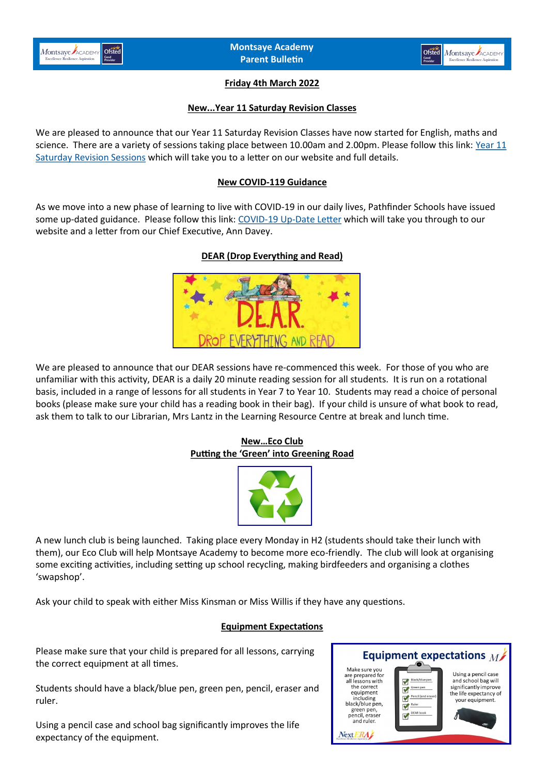



# **Friday 4th March 2022**

### **New...Year 11 Saturday Revision Classes**

We are pleased to announce that our Year 11 Saturday Revision Classes have now started for English, maths and science. There are a variety of sessions taking place between 10.00am and 2.00pm. Please follow this link: [Year 11](https://www.montsaye.northants.sch.uk/assets/Documents/Newsletters/Y11-Sat-Revision-2022.pdf)  [Saturday Revision Sessions](https://www.montsaye.northants.sch.uk/assets/Documents/Newsletters/Y11-Sat-Revision-2022.pdf) which will take you to a letter on our website and full details.

### **New COVID-119 Guidance**

As we move into a new phase of learning to live with COVID-19 in our daily lives, Pathfinder Schools have issued some up-dated guidance. Please follow this link: COVID-19 Up-[Date Letter](https://www.montsaye.northants.sch.uk/assets/Documents/Newsletters/COVID-guidance-280222.pdf) which will take you through to our website and a letter from our Chief Executive, Ann Davey.

## **DEAR (Drop Everything and Read)**



We are pleased to announce that our DEAR sessions have re-commenced this week. For those of you who are unfamiliar with this activity, DEAR is a daily 20 minute reading session for all students. It is run on a rotational basis, included in a range of lessons for all students in Year 7 to Year 10. Students may read a choice of personal books (please make sure your child has a reading book in their bag). If your child is unsure of what book to read, ask them to talk to our Librarian, Mrs Lantz in the Learning Resource Centre at break and lunch time.

## **New…Eco Club Putting the 'Green' into Greening Road**



A new lunch club is being launched. Taking place every Monday in H2 (students should take their lunch with them), our Eco Club will help Montsaye Academy to become more eco-friendly. The club will look at organising some exciting activities, including setting up school recycling, making birdfeeders and organising a clothes 'swapshop'.

Ask your child to speak with either Miss Kinsman or Miss Willis if they have any questions.

#### **Equipment Expectations**

Please make sure that your child is prepared for all lessons, carrying the correct equipment at all times.

Students should have a black/blue pen, green pen, pencil, eraser and ruler.

Using a pencil case and school bag significantly improves the life expectancy of the equipment.